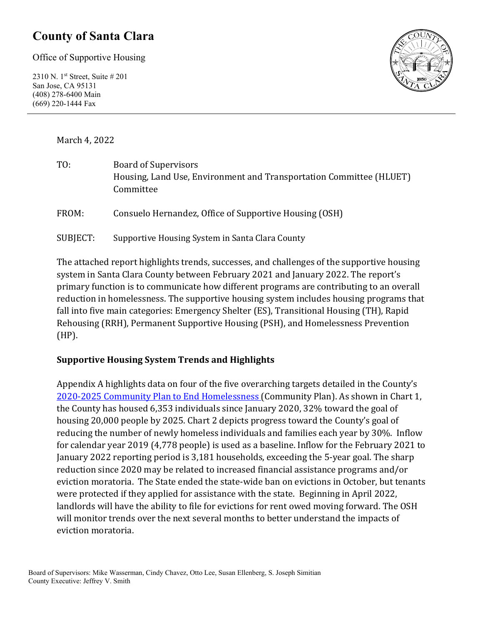### **County of Santa Clara**

Office of Supportive Housing

2310 N. 1st Street, Suite # 201 San Jose, CA 95131 (408) 278-6400 Main (669) 220-1444 Fax



March 4, 2022

| TO:      | <b>Board of Supervisors</b><br>Housing, Land Use, Environment and Transportation Committee (HLUET)<br>Committee |
|----------|-----------------------------------------------------------------------------------------------------------------|
| FROM:    | Consuelo Hernandez, Office of Supportive Housing (OSH)                                                          |
| SUBJECT: | Supportive Housing System in Santa Clara County                                                                 |

The attached report highlights trends, successes, and challenges of the supportive housing system in Santa Clara County between February 2021 and January 2022. The report's primary function is to communicate how different programs are contributing to an overall reduction in homelessness. The supportive housing system includes housing programs that fall into five main categories: Emergency Shelter (ES), Transitional Housing (TH), Rapid Rehousing (RRH), Permanent Supportive Housing (PSH), and Homelessness Prevention (HP).

#### **Supportive Housing System Trends and Highlights**

Appendix A highlights data on four of the five overarching targets detailed in the County's [2020-2025 Community Plan to End Homelessness](https://www.sccgov.org/sites/yes/takeaction/Pages/2020-Santa-Clara-County-Community-Plan-to-End-Homelessness-.aspx) (Community Plan). As shown in Chart 1, the County has housed 6,353 individuals since January 2020, 32% toward the goal of housing 20,000 people by 2025. Chart 2 depicts progress toward the County's goal of reducing the number of newly homeless individuals and families each year by 30%. Inflow for calendar year 2019 (4,778 people) is used as a baseline. Inflow for the February 2021 to January 2022 reporting period is 3,181 households, exceeding the 5-year goal. The sharp reduction since 2020 may be related to increased financial assistance programs and/or eviction moratoria. The State ended the state-wide ban on evictions in October, but tenants were protected if they applied for assistance with the state. Beginning in April 2022, landlords will have the ability to file for evictions for rent owed moving forward. The OSH will monitor trends over the next several months to better understand the impacts of eviction moratoria.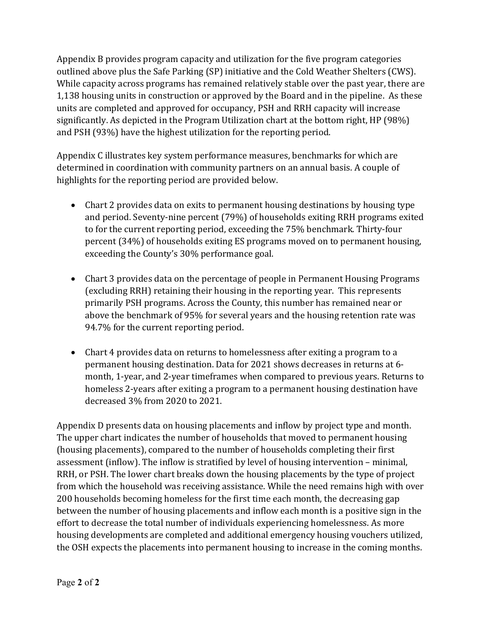Appendix B provides program capacity and utilization for the five program categories outlined above plus the Safe Parking (SP) initiative and the Cold Weather Shelters (CWS). While capacity across programs has remained relatively stable over the past year, there are 1,138 housing units in construction or approved by the Board and in the pipeline. As these units are completed and approved for occupancy, PSH and RRH capacity will increase significantly. As depicted in the Program Utilization chart at the bottom right, HP (98%) and PSH (93%) have the highest utilization for the reporting period.

Appendix C illustrates key system performance measures, benchmarks for which are determined in coordination with community partners on an annual basis. A couple of highlights for the reporting period are provided below.

- Chart 2 provides data on exits to permanent housing destinations by housing type and period. Seventy-nine percent (79%) of households exiting RRH programs exited to for the current reporting period, exceeding the 75% benchmark. Thirty-four percent (34%) of households exiting ES programs moved on to permanent housing, exceeding the County's 30% performance goal.
- Chart 3 provides data on the percentage of people in Permanent Housing Programs (excluding RRH) retaining their housing in the reporting year. This represents primarily PSH programs. Across the County, this number has remained near or above the benchmark of 95% for several years and the housing retention rate was 94.7% for the current reporting period.
- Chart 4 provides data on returns to homelessness after exiting a program to a permanent housing destination. Data for 2021 shows decreases in returns at 6 month, 1-year, and 2-year timeframes when compared to previous years. Returns to homeless 2-years after exiting a program to a permanent housing destination have decreased 3% from 2020 to 2021.

Appendix D presents data on housing placements and inflow by project type and month. The upper chart indicates the number of households that moved to permanent housing (housing placements), compared to the number of households completing their first assessment (inflow). The inflow is stratified by level of housing intervention – minimal, RRH, or PSH. The lower chart breaks down the housing placements by the type of project from which the household was receiving assistance. While the need remains high with over 200 households becoming homeless for the first time each month, the decreasing gap between the number of housing placements and inflow each month is a positive sign in the effort to decrease the total number of individuals experiencing homelessness. As more housing developments are completed and additional emergency housing vouchers utilized, the OSH expects the placements into permanent housing to increase in the coming months.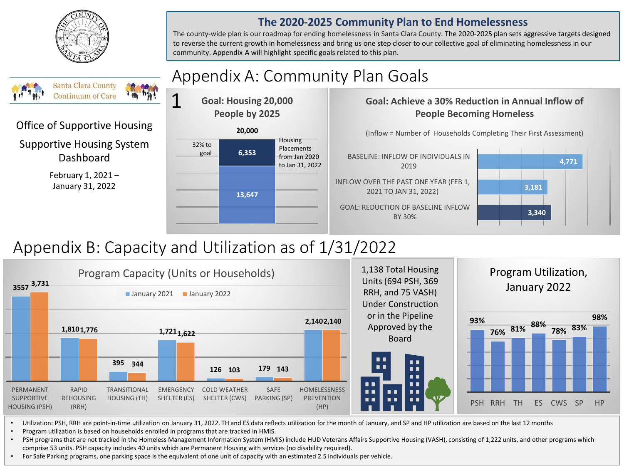

Office of Supportive Housing

**Santa Clara County Continuum of Care** 

Supportive Housing System Dashboard

> February 1, 2021 – January 31, 2022

#### **The 2020-2025 Community Plan to End Homelessness**

The county-wide plan is our roadmap for ending homelessness in Santa Clara County. The 2020-2025 plan sets aggressive targets designed to reverse the current growth in homelessness and bring us one step closer to our collective goal of eliminating homelessness in our community. Appendix A will highlight specific goals related to this plan.

# Appendix A: Community Plan Goals

**6,353 20,000 Goal: Housing 20,000 People by 2025** 32% to goal Housing Placements from Jan 2020 1

**13,647**

#### **Goal: Achieve a 30% Reduction in Annual Inflow of People Becoming Homeless**

(Inflow = Number of Households Completing Their First Assessment)





## Appendix B: Capacity and Utilization as of 1/31/2022



• Utilization: PSH, RRH are point-in-time utilization on January 31, 2022. TH and ES data reflects utilization for the month of January, and SP and HP utilization are based on the last 12 months

• Program utilization is based on households enrolled in programs that are tracked in HMIS.

• PSH programs that are not tracked in the Homeless Management Information System (HMIS) include HUD Veterans Affairs Supportive Housing (VASH), consisting of 1,222 units, and other programs which comprise 53 units. PSH capacity includes 40 units which are Permanent Housing with services (no disability required).

• For Safe Parking programs, one parking space is the equivalent of one unit of capacity with an estimated 2.5 individuals per vehicle.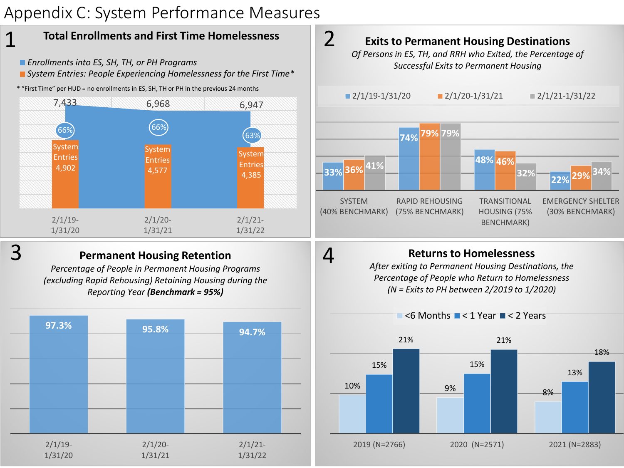### Appendix C: System Performance Measures



- *Enrollments into ES, SH, TH, or PH Programs*
- *System Entries: People Experiencing Homelessness for the First Time\**
- \* "First Time" per HUD = no enrollments in ES, SH, TH or PH in the previous 24 months



3

1

### **Permanent Housing Retention**

*Percentage of People in Permanent Housing Programs (excluding Rapid Rehousing) Retaining Housing during the Reporting Year (Benchmark = 95%)*





### **Returns to Homelessness**

4

*After exiting to Permanent Housing Destinations, the Percentage of People who Return to Homelessness (N = Exits to PH between 2/2019 to 1/2020)*